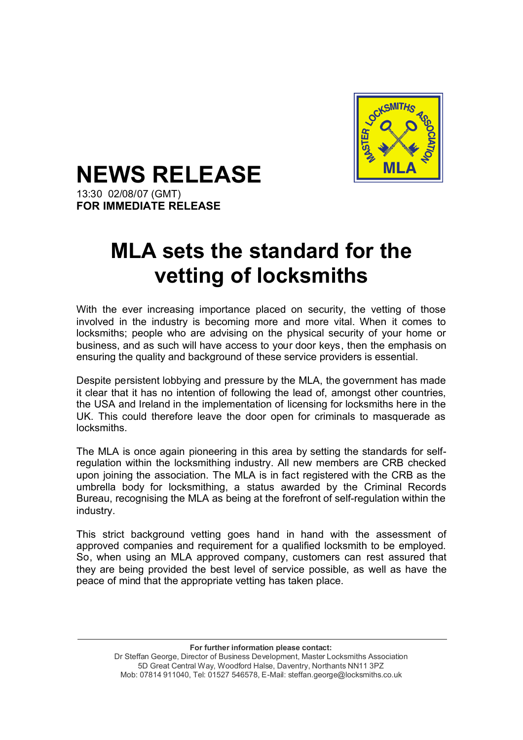

## **NEWS RELEASE**

13:30 02/08/07 (GMT) **FOR IMMEDIATE RELEASE**

## **MLA sets the standard for the vetting of locksmiths**

With the ever increasing importance placed on security, the vetting of those involved in the industry is becoming more and more vital. When it comes to locksmiths; people who are advising on the physical security of your home or business, and as such will have access to your door keys, then the emphasis on ensuring the quality and background of these service providers is essential.

Despite persistent lobbying and pressure by the MLA, the government has made it clear that it has no intention of following the lead of, amongst other countries, the USA and Ireland in the implementation of licensing for locksmiths here in the UK. This could therefore leave the door open for criminals to masquerade as locksmiths.

The MLA is once again pioneering in this area by setting the standards for selfregulation within the locksmithing industry. All new members are CRB checked upon joining the association. The MLA is in fact registered with the CRB as the umbrella body for locksmithing, a status awarded by the Criminal Records Bureau, recognising the MLA as being at the forefront of self-regulation within the industry.

This strict background vetting goes hand in hand with the assessment of approved companies and requirement for a qualified locksmith to be employed. So, when using an MLA approved company, customers can rest assured that they are being provided the best level of service possible, as well as have the peace of mind that the appropriate vetting has taken place.

> **For further information please contact:** Dr Steffan George, Director of Business Development, Master Locksmiths Association 5D Great Central Way, Woodford Halse, Daventry, Northants NN11 3PZ Mob: 07814 911040, Tel: 01527 546578, E-Mail: steffan.george@locksmiths.co.uk